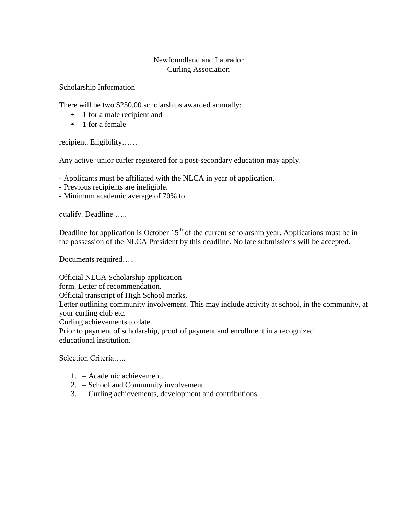## Newfoundland and Labrador Curling Association

Scholarship Information

There will be two \$250.00 scholarships awarded annually:

- 1 for a male recipient and
- 1 for a female

recipient. Eligibility……

Any active junior curler registered for a post-secondary education may apply.

- Applicants must be affiliated with the NLCA in year of application.

- Previous recipients are ineligible.

- Minimum academic average of 70% to

qualify. Deadline …..

Deadline for application is October  $15<sup>th</sup>$  of the current scholarship year. Applications must be in the possession of the NLCA President by this deadline. No late submissions will be accepted.

Documents required…..

Official NLCA Scholarship application

form. Letter of recommendation.

Official transcript of High School marks.

Letter outlining community involvement. This may include activity at school, in the community, at your curling club etc.

Curling achievements to date.

Prior to payment of scholarship, proof of payment and enrollment in a recognized educational institution.

Selection Criteria…..

- 1. Academic achievement.
- 2. School and Community involvement.
- 3. Curling achievements, development and contributions.